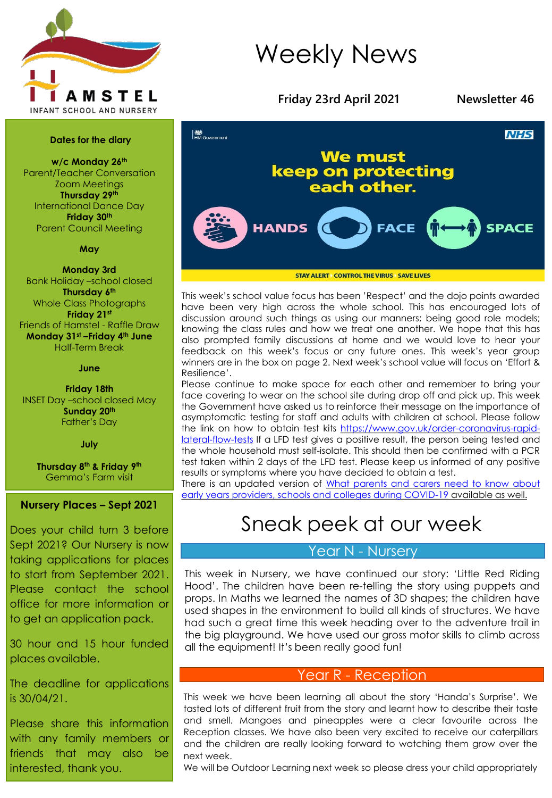

#### **Dates for the diary**

**w/c Monday 26th** Parent/Teacher Conversation Zoom Meetings **Thursday 29th** International Dance Day **Friday 30th** Parent Council Meeting

#### **May**

**Monday 3rd** Bank Holiday –school closed **Thursday 6th** Whole Class Photographs **Friday 21st** Friends of Hamstel - Raffle Draw **Monday 31st –Friday 4th June** Half-Term Break

#### **June**

**Friday 18th** INSET Day –school closed May **Sunday 20th** Father's Day

**July**

**Thursday 8th & Friday 9th** Gemma's Farm visit

#### **Nursery Places – Sept 2021**

Does your child turn 3 before Sept 2021? Our Nursery is now taking applications for places to start from September 2021. Please contact the school office for more information or to get an application pack.

30 hour and 15 hour funded places available.

The deadline for applications is 30/04/21.

Please share this information with any family members or friends that may also be interested, thank you.

## Weekly News



**STAY ALERT CONTROL THE VIRUS ASAVE LIVES** 

This week's school value focus has been 'Respect' and the dojo points awarded have been very high across the whole school. This has encouraged lots of discussion around such things as using our manners; being good role models; knowing the class rules and how we treat one another. We hope that this has also prompted family discussions at home and we would love to hear your feedback on this week's focus or any future ones. This week's year group winners are in the box on page 2. Next week's school value will focus on 'Effort & Resilience'.

Please continue to make space for each other and remember to bring your face covering to wear on the school site during drop off and pick up. This week the Government have asked us to reinforce their message on the importance of asymptomatic testing for staff and adults with children at school. Please follow the link on how to obtain test kits [https://www.gov.uk/order-coronavirus-rapid](https://www.gov.uk/order-coronavirus-rapid-lateral-flow-tests)lateral-flow-tests If a LFD test gives a positive result, the person being tested and the whole household must self-isolate. This should then be confirmed with a PCR test taken within 2 days of the LFD test. Please keep us informed of any positive results or symptoms where you have decided to obtain a test.

There is an updated version of What parents and carers need to know about early years providers, schools and colleges during [COVID-19](https://www.gov.uk/government/publications/what-parents-and-carers-need-to-know-about-early-years-providers-schools-and-colleges-during-the-coronavirus-covid-19-outbreak?utm_medium=email&utm_campaign=govuk-notifications&utm_source=1b7492a4-15be-4e06-bd7e-c371ed295e93&utm_content=daily) available as well.

### Sneak peek at our week

#### Year N - Nursery

This week in Nursery, we have continued our story: 'Little Red Riding Hood'. The children have been re-telling the story using puppets and props. In Maths we learned the names of 3D shapes; the children have used shapes in the environment to build all kinds of structures. We have had such a great time this week heading over to the adventure trail in the big playground. We have used our gross motor skills to climb across all the equipment! It's been really good fun!

#### Year R - Reception

This week we have been learning all about the story 'Handa's Surprise'. We tasted lots of different fruit from the story and learnt how to describe their taste and smell. Mangoes and pineapples were a clear favourite across the Reception classes. We have also been very excited to receive our caterpillars and the children are really looking forward to watching them grow over the next week.

We will be Outdoor Learning next week so please dress your child appropriately